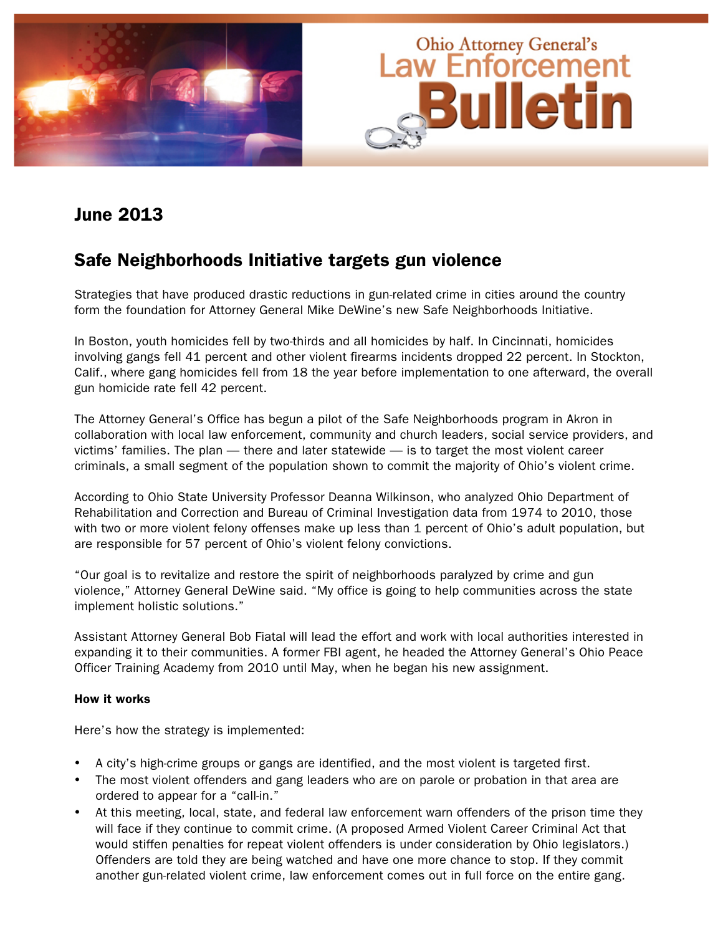

### June 2013

### Safe Neighborhoods Initiative targets gun violence

Strategies that have produced drastic reductions in gun-related crime in cities around the country form the foundation for Attorney General Mike DeWine's new Safe Neighborhoods Initiative.

In Boston, youth homicides fell by two-thirds and all homicides by half. In Cincinnati, homicides involving gangs fell 41 percent and other violent firearms incidents dropped 22 percent. In Stockton, Calif., where gang homicides fell from 18 the year before implementation to one afterward, the overall gun homicide rate fell 42 percent.

The Attorney General's Office has begun a pilot of the Safe Neighborhoods program in Akron in collaboration with local law enforcement, community and church leaders, social service providers, and victims' families. The plan — there and later statewide — is to target the most violent career criminals, a small segment of the population shown to commit the majority of Ohio's violent crime.

According to Ohio State University Professor Deanna Wilkinson, who analyzed Ohio Department of Rehabilitation and Correction and Bureau of Criminal Investigation data from 1974 to 2010, those with two or more violent felony offenses make up less than 1 percent of Ohio's adult population, but are responsible for 57 percent of Ohio's violent felony convictions.

"Our goal is to revitalize and restore the spirit of neighborhoods paralyzed by crime and gun violence," Attorney General DeWine said. "My office is going to help communities across the state implement holistic solutions."

Assistant Attorney General Bob Fiatal will lead the effort and work with local authorities interested in expanding it to their communities. A former FBI agent, he headed the Attorney General's Ohio Peace Officer Training Academy from 2010 until May, when he began his new assignment.

#### How it works

Here's how the strategy is implemented:

- A city's high-crime groups or gangs are identified, and the most violent is targeted first.
- The most violent offenders and gang leaders who are on parole or probation in that area are ordered to appear for a "call-in."
- At this meeting, local, state, and federal law enforcement warn offenders of the prison time they will face if they continue to commit crime. (A proposed Armed Violent Career Criminal Act that would stiffen penalties for repeat violent offenders is under consideration by Ohio legislators.) Offenders are told they are being watched and have one more chance to stop. If they commit another gun-related violent crime, law enforcement comes out in full force on the entire gang.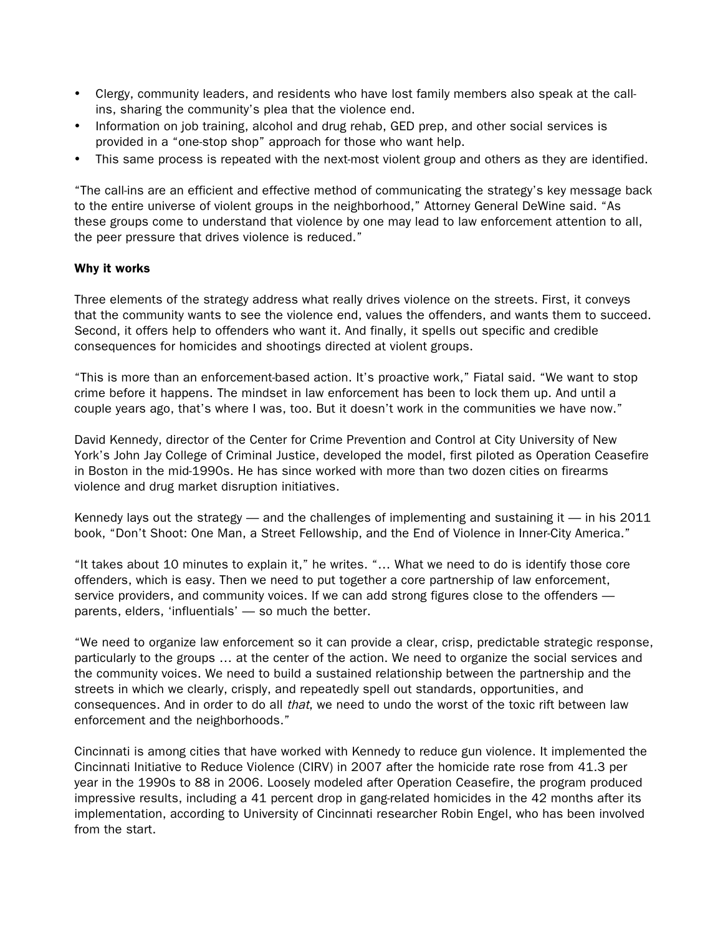- Clergy, community leaders, and residents who have lost family members also speak at the callins, sharing the community's plea that the violence end.
- Information on job training, alcohol and drug rehab, GED prep, and other social services is provided in a "one-stop shop" approach for those who want help.
- This same process is repeated with the next-most violent group and others as they are identified.

"The call-ins are an efficient and effective method of communicating the strategy's key message back to the entire universe of violent groups in the neighborhood," Attorney General DeWine said. "As these groups come to understand that violence by one may lead to law enforcement attention to all, the peer pressure that drives violence is reduced."

### Why it works

Three elements of the strategy address what really drives violence on the streets. First, it conveys that the community wants to see the violence end, values the offenders, and wants them to succeed. Second, it offers help to offenders who want it. And finally, it spells out specific and credible consequences for homicides and shootings directed at violent groups.

"This is more than an enforcement-based action. It's proactive work," Fiatal said. "We want to stop crime before it happens. The mindset in law enforcement has been to lock them up. And until a couple years ago, that's where I was, too. But it doesn't work in the communities we have now."

David Kennedy, director of the Center for Crime Prevention and Control at City University of New York's John Jay College of Criminal Justice, developed the model, first piloted as Operation Ceasefire in Boston in the mid-1990s. He has since worked with more than two dozen cities on firearms violence and drug market disruption initiatives.

Kennedy lays out the strategy  $-$  and the challenges of implementing and sustaining it  $-$  in his 2011 book, "Don't Shoot: One Man, a Street Fellowship, and the End of Violence in Inner-City America."

"It takes about 10 minutes to explain it," he writes. "… What we need to do is identify those core offenders, which is easy. Then we need to put together a core partnership of law enforcement, service providers, and community voices. If we can add strong figures close to the offenders parents, elders, 'influentials' — so much the better.

"We need to organize law enforcement so it can provide a clear, crisp, predictable strategic response, particularly to the groups … at the center of the action. We need to organize the social services and the community voices. We need to build a sustained relationship between the partnership and the streets in which we clearly, crisply, and repeatedly spell out standards, opportunities, and consequences. And in order to do all that, we need to undo the worst of the toxic rift between law enforcement and the neighborhoods."

Cincinnati is among cities that have worked with Kennedy to reduce gun violence. It implemented the Cincinnati Initiative to Reduce Violence (CIRV) in 2007 after the homicide rate rose from 41.3 per year in the 1990s to 88 in 2006. Loosely modeled after Operation Ceasefire, the program produced impressive results, including a 41 percent drop in gang-related homicides in the 42 months after its implementation, according to University of Cincinnati researcher Robin Engel, who has been involved from the start.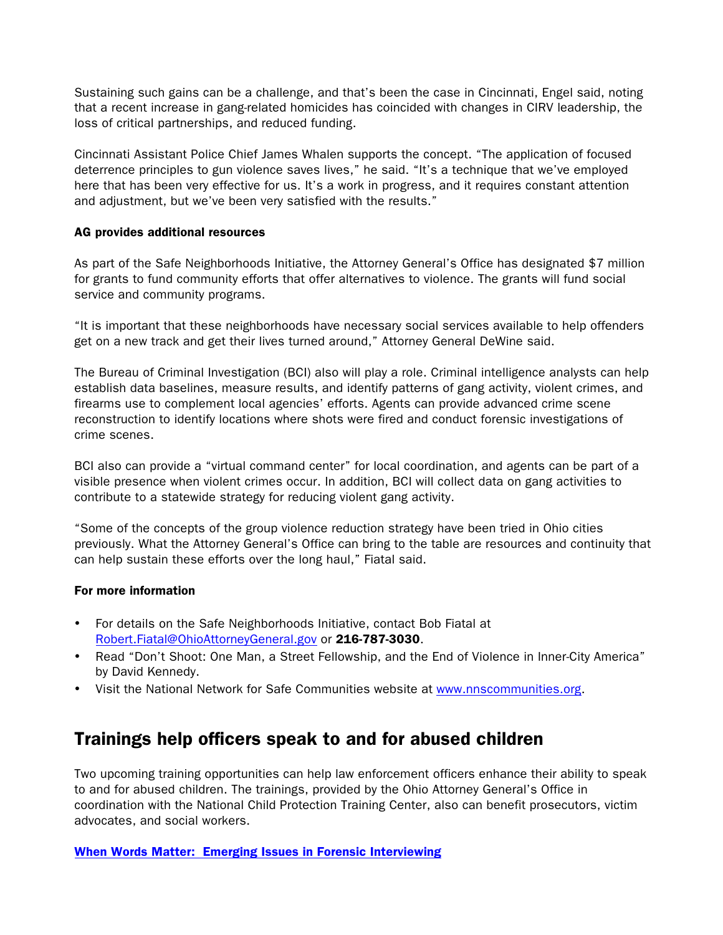Sustaining such gains can be a challenge, and that's been the case in Cincinnati, Engel said, noting that a recent increase in gang-related homicides has coincided with changes in CIRV leadership, the loss of critical partnerships, and reduced funding.

Cincinnati Assistant Police Chief James Whalen supports the concept. "The application of focused deterrence principles to gun violence saves lives," he said. "It's a technique that we've employed here that has been very effective for us. It's a work in progress, and it requires constant attention and adjustment, but we've been very satisfied with the results."

#### AG provides additional resources

As part of the Safe Neighborhoods Initiative, the Attorney General's Office has designated \$7 million for grants to fund community efforts that offer alternatives to violence. The grants will fund social service and community programs.

"It is important that these neighborhoods have necessary social services available to help offenders get on a new track and get their lives turned around," Attorney General DeWine said.

The Bureau of Criminal Investigation (BCI) also will play a role. Criminal intelligence analysts can help establish data baselines, measure results, and identify patterns of gang activity, violent crimes, and firearms use to complement local agencies' efforts. Agents can provide advanced crime scene reconstruction to identify locations where shots were fired and conduct forensic investigations of crime scenes.

BCI also can provide a "virtual command center" for local coordination, and agents can be part of a visible presence when violent crimes occur. In addition, BCI will collect data on gang activities to contribute to a statewide strategy for reducing violent gang activity.

"Some of the concepts of the group violence reduction strategy have been tried in Ohio cities previously. What the Attorney General's Office can bring to the table are resources and continuity that can help sustain these efforts over the long haul," Fiatal said.

#### For more information

- For details on the Safe Neighborhoods Initiative, contact Bob Fiatal at Robert.Fiatal@OhioAttorneyGeneral.gov or 216-787-3030.
- Read "Don't Shoot: One Man, a Street Fellowship, and the End of Violence in Inner-City America" by David Kennedy.
- Visit the National Network for Safe Communities website at www.nnscommunities.org.

### Trainings help officers speak to and for abused children

Two upcoming training opportunities can help law enforcement officers enhance their ability to speak to and for abused children. The trainings, provided by the Ohio Attorney General's Office in coordination with the National Child Protection Training Center, also can benefit prosecutors, victim advocates, and social workers.

[When Words Matter: Emerging Issues in Forensic Interviewing](http://cl.publicaster.com/ClickThru.aspx?pubids=177%7c70469%7c10258%7c16762&digest=8RT4i6WD4i7SZYohO0gAFA&sysid=1)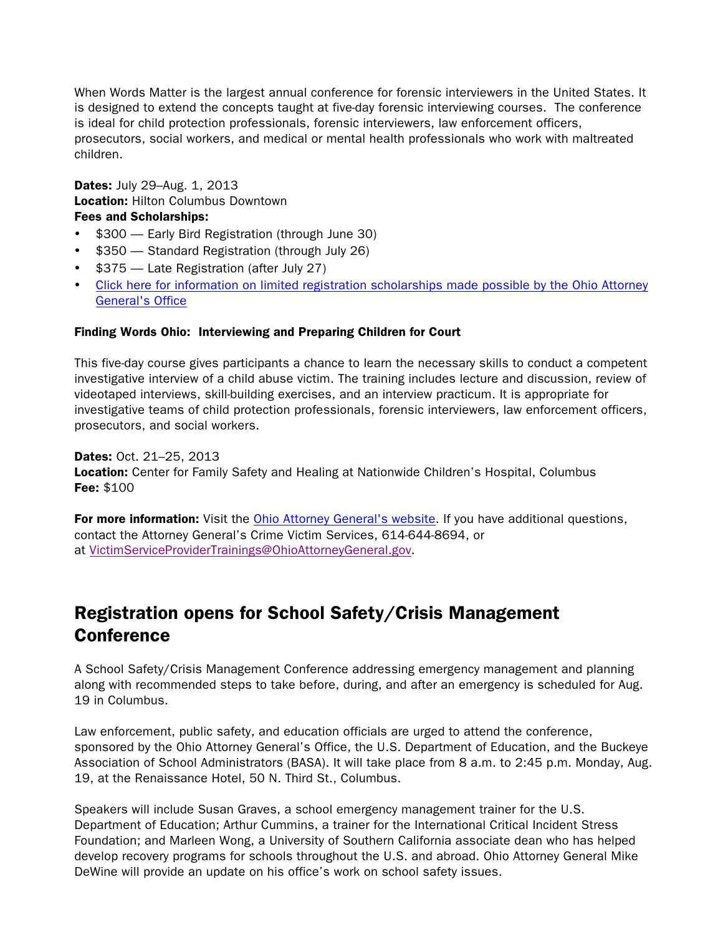When Words Matter is the largest annual conference for forensic interviewers in the United States. It is designed to extend the concepts taught at five-day forensic interviewing courses. The conference is ideal for child protection professionals, forensic interviewers, law enforcement officers, prosecutors, social workers, and medical or mental health professionals who work with maltreated children.

Dates: July 29–Aug. 1, 2013 Location: Hilton Columbus Downtown Fees and Scholarships:

- \$300 Early Bird Registration (through June 30)
- \$350 Standard Registration (through July 26)
- \$375 Late Registration (after July 27)
- Click here for information on limited registration scholarships made possible by the Ohio Attorney General's Office

### Finding Words Ohio: Interviewing and Preparing Children for Court

This five-day course gives participants a chance to learn the necessary skills to conduct a competent investigative interview of a child abuse victim. The training includes lecture and discussion, review of videotaped interviews, skill-building exercises, and an interview practicum. It is appropriate for investigative teams of child protection professionals, forensic interviewers, law enforcement officers, prosecutors, and social workers.

Dates: Oct. 21–25, 2013 Location: Center for Family Safety and Healing at Nationwide Children's Hospital, Columbus Fee: \$100

For more information: Visit the [Ohio Attorney General's website.](http://www.ohioattorneygeneral.gov/FindingWords) If you have additional questions, contact the Attorney General's Crime Victim Services, 614-644-8694, or at VictimServiceProviderTrainings@OhioAttorneyGeneral.gov.

# Registration opens for School Safety/Crisis Management **Conference**

A School Safety/Crisis Management Conference addressing emergency management and planning along with recommended steps to take before, during, and after an emergency is scheduled for Aug. 19 in Columbus.

Law enforcement, public safety, and education officials are urged to attend the conference, sponsored by the Ohio Attorney General's Office, the U.S. Department of Education, and the Buckeye Association of School Administrators (BASA). It will take place from 8 a.m. to 2:45 p.m. Monday, Aug. 19, at the Renaissance Hotel, 50 N. Third St., Columbus.

Speakers will include Susan Graves, a school emergency management trainer for the U.S. Department of Education; Arthur Cummins, a trainer for the International Critical Incident Stress Foundation; and Marleen Wong, a University of Southern California associate dean who has helped develop recovery programs for schools throughout the U.S. and abroad. Ohio Attorney General Mike DeWine will provide an update on his office's work on school safety issues.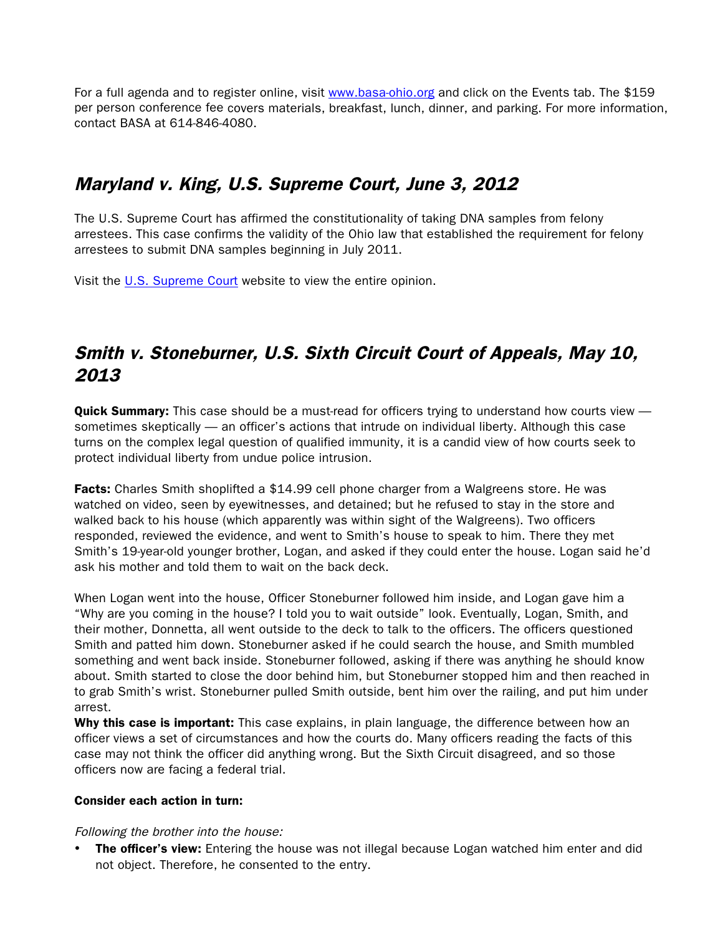For a full agenda and to register online, visit www.basa-ohio.org and click on the Events tab. The \$159 per person conference fee covers materials, breakfast, lunch, dinner, and parking. For more information, contact BASA at 614-846-4080.

### Maryland v. King, U.S. Supreme Court, June 3, 2012

The U.S. Supreme Court has affirmed the constitutionality of taking DNA samples from felony arrestees. This case confirms the validity of the Ohio law that established the requirement for felony arrestees to submit DNA samples beginning in July 2011.

Visit the [U.S. Supreme Court](http://www.supremecourt.gov/opinions/12pdf/12-207_d18e.pdf) website to view the entire opinion.

### Smith v. Stoneburner, U.S. Sixth Circuit Court of Appeals, May 10, 2013

**Quick Summary:** This case should be a must-read for officers trying to understand how courts view sometimes skeptically — an officer's actions that intrude on individual liberty. Although this case turns on the complex legal question of qualified immunity, it is a candid view of how courts seek to protect individual liberty from undue police intrusion.

**Facts:** Charles Smith shoplifted a \$14.99 cell phone charger from a Walgreens store. He was watched on video, seen by eyewitnesses, and detained; but he refused to stay in the store and walked back to his house (which apparently was within sight of the Walgreens). Two officers responded, reviewed the evidence, and went to Smith's house to speak to him. There they met Smith's 19-year-old younger brother, Logan, and asked if they could enter the house. Logan said he'd ask his mother and told them to wait on the back deck.

When Logan went into the house, Officer Stoneburner followed him inside, and Logan gave him a "Why are you coming in the house? I told you to wait outside" look. Eventually, Logan, Smith, and their mother, Donnetta, all went outside to the deck to talk to the officers. The officers questioned Smith and patted him down. Stoneburner asked if he could search the house, and Smith mumbled something and went back inside. Stoneburner followed, asking if there was anything he should know about. Smith started to close the door behind him, but Stoneburner stopped him and then reached in to grab Smith's wrist. Stoneburner pulled Smith outside, bent him over the railing, and put him under arrest.

Why this case is important: This case explains, in plain language, the difference between how an officer views a set of circumstances and how the courts do. Many officers reading the facts of this case may not think the officer did anything wrong. But the Sixth Circuit disagreed, and so those officers now are facing a federal trial.

#### Consider each action in turn:

### Following the brother into the house:

• The officer's view: Entering the house was not illegal because Logan watched him enter and did not object. Therefore, he consented to the entry.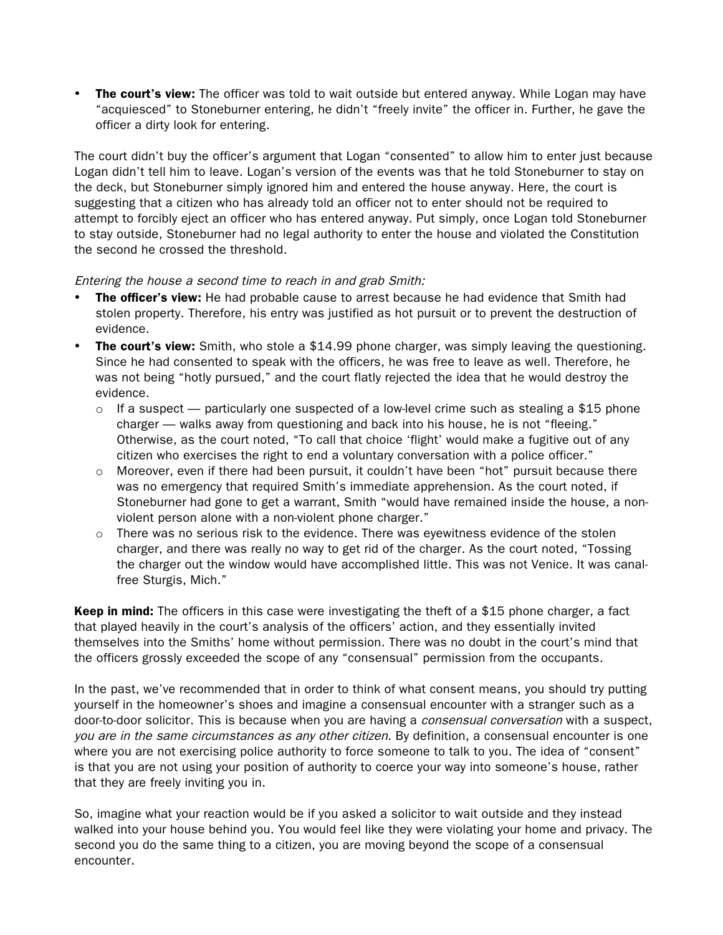**The court's view:** The officer was told to wait outside but entered anyway. While Logan may have "acquiesced" to Stoneburner entering, he didn't "freely invite" the officer in. Further, he gave the officer a dirty look for entering.

The court didn't buy the officer's argument that Logan "consented" to allow him to enter just because Logan didn't tell him to leave. Logan's version of the events was that he told Stoneburner to stay on the deck, but Stoneburner simply ignored him and entered the house anyway. Here, the court is suggesting that a citizen who has already told an officer not to enter should not be required to attempt to forcibly eject an officer who has entered anyway. Put simply, once Logan told Stoneburner to stay outside, Stoneburner had no legal authority to enter the house and violated the Constitution the second he crossed the threshold.

#### Entering the house a second time to reach in and grab Smith:

- **The officer's view:** He had probable cause to arrest because he had evidence that Smith had stolen property. Therefore, his entry was justified as hot pursuit or to prevent the destruction of evidence.
- **The court's view:** Smith, who stole a \$14.99 phone charger, was simply leaving the questioning. Since he had consented to speak with the officers, he was free to leave as well. Therefore, he was not being "hotly pursued," and the court flatly rejected the idea that he would destroy the evidence.
	- $\circ$  If a suspect particularly one suspected of a low-level crime such as stealing a \$15 phone charger — walks away from questioning and back into his house, he is not "fleeing." Otherwise, as the court noted, "To call that choice 'flight' would make a fugitive out of any citizen who exercises the right to end a voluntary conversation with a police officer."
	- $\circ$  Moreover, even if there had been pursuit, it couldn't have been "hot" pursuit because there was no emergency that required Smith's immediate apprehension. As the court noted, if Stoneburner had gone to get a warrant, Smith "would have remained inside the house, a nonviolent person alone with a non-violent phone charger."
	- $\circ$  There was no serious risk to the evidence. There was eyewitness evidence of the stolen charger, and there was really no way to get rid of the charger. As the court noted, "Tossing the charger out the window would have accomplished little. This was not Venice. It was canalfree Sturgis, Mich."

**Keep in mind:** The officers in this case were investigating the theft of a \$15 phone charger, a fact that played heavily in the court's analysis of the officers' action, and they essentially invited themselves into the Smiths' home without permission. There was no doubt in the court's mind that the officers grossly exceeded the scope of any "consensual" permission from the occupants.

In the past, we've recommended that in order to think of what consent means, you should try putting yourself in the homeowner's shoes and imagine a consensual encounter with a stranger such as a door-to-door solicitor. This is because when you are having a *consensual conversation* with a suspect, you are in the same circumstances as any other citizen. By definition, a consensual encounter is one where you are not exercising police authority to force someone to talk to you. The idea of "consent" is that you are not using your position of authority to coerce your way into someone's house, rather that they are freely inviting you in.

So, imagine what your reaction would be if you asked a solicitor to wait outside and they instead walked into your house behind you. You would feel like they were violating your home and privacy. The second you do the same thing to a citizen, you are moving beyond the scope of a consensual encounter.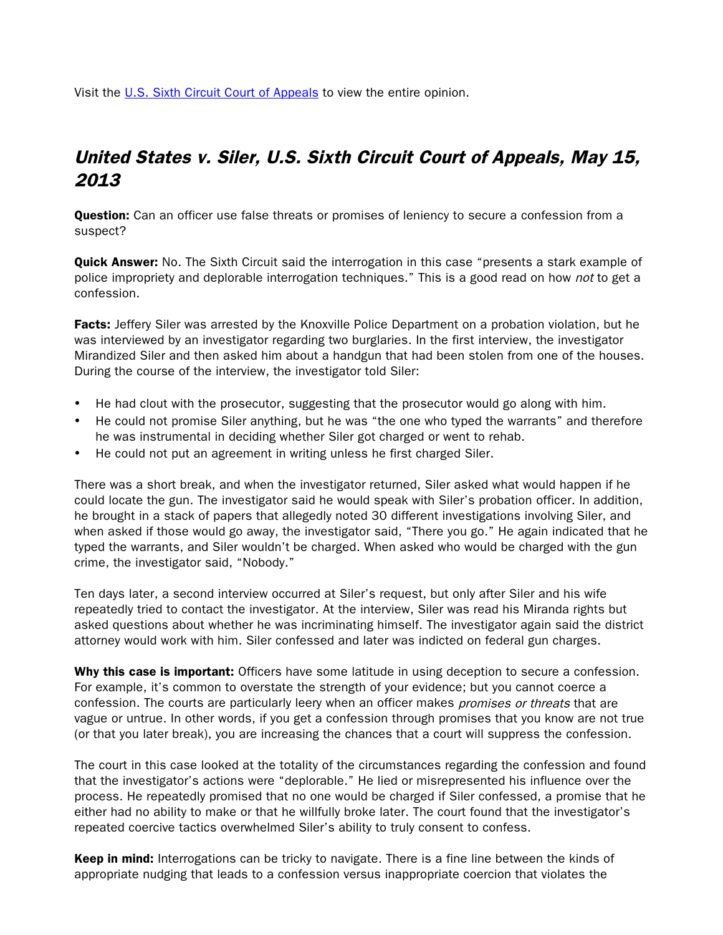Visit the [U.S. Sixth Circuit Court of Appeals](http://www.ca6.uscourts.gov/opinions.pdf/13a0132p-06.pdf) to view the entire opinion.

# United States v. Siler, U.S. Sixth Circuit Court of Appeals, May 15, 2013

**Question:** Can an officer use false threats or promises of leniency to secure a confession from a suspect?

**Quick Answer:** No. The Sixth Circuit said the interrogation in this case "presents a stark example of police impropriety and deplorable interrogation techniques." This is a good read on how not to get a confession.

Facts: Jeffery Siler was arrested by the Knoxville Police Department on a probation violation, but he was interviewed by an investigator regarding two burglaries. In the first interview, the investigator Mirandized Siler and then asked him about a handgun that had been stolen from one of the houses. During the course of the interview, the investigator told Siler:

- He had clout with the prosecutor, suggesting that the prosecutor would go along with him.
- He could not promise Siler anything, but he was "the one who typed the warrants" and therefore he was instrumental in deciding whether Siler got charged or went to rehab.
- He could not put an agreement in writing unless he first charged Siler.

There was a short break, and when the investigator returned, Siler asked what would happen if he could locate the gun. The investigator said he would speak with Siler's probation officer. In addition, he brought in a stack of papers that allegedly noted 30 different investigations involving Siler, and when asked if those would go away, the investigator said, "There you go." He again indicated that he typed the warrants, and Siler wouldn't be charged. When asked who would be charged with the gun crime, the investigator said, "Nobody."

Ten days later, a second interview occurred at Siler's request, but only after Siler and his wife repeatedly tried to contact the investigator. At the interview, Siler was read his Miranda rights but asked questions about whether he was incriminating himself. The investigator again said the district attorney would work with him. Siler confessed and later was indicted on federal gun charges.

Why this case is important: Officers have some latitude in using deception to secure a confession. For example, it's common to overstate the strength of your evidence; but you cannot coerce a confession. The courts are particularly leery when an officer makes *promises or threats* that are vague or untrue. In other words, if you get a confession through promises that you know are not true (or that you later break), you are increasing the chances that a court will suppress the confession.

The court in this case looked at the totality of the circumstances regarding the confession and found that the investigator's actions were "deplorable." He lied or misrepresented his influence over the process. He repeatedly promised that no one would be charged if Siler confessed, a promise that he either had no ability to make or that he willfully broke later. The court found that the investigator's repeated coercive tactics overwhelmed Siler's ability to truly consent to confess.

Keep in mind: Interrogations can be tricky to navigate. There is a fine line between the kinds of appropriate nudging that leads to a confession versus inappropriate coercion that violates the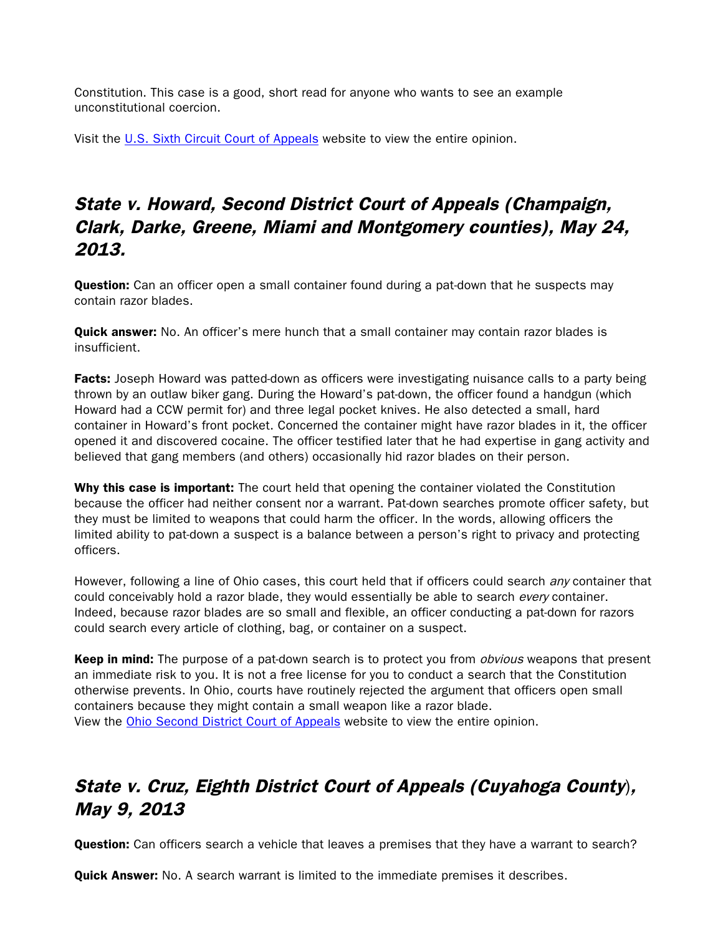Constitution. This case is a good, short read for anyone who wants to see an example unconstitutional coercion.

Visit the [U.S. Sixth Circuit Court of Appeals](http://www.ca6.uscourts.gov/opinions.pdf/13a0489n-06.pdf) website to view the entire opinion.

### State v. Howard, Second District Court of Appeals (Champaign, Clark, Darke, Greene, Miami and Montgomery counties), May 24, 2013.

**Question:** Can an officer open a small container found during a pat-down that he suspects may contain razor blades.

**Quick answer:** No. An officer's mere hunch that a small container may contain razor blades is insufficient.

**Facts:** Joseph Howard was patted-down as officers were investigating nuisance calls to a party being thrown by an outlaw biker gang. During the Howard's pat-down, the officer found a handgun (which Howard had a CCW permit for) and three legal pocket knives. He also detected a small, hard container in Howard's front pocket. Concerned the container might have razor blades in it, the officer opened it and discovered cocaine. The officer testified later that he had expertise in gang activity and believed that gang members (and others) occasionally hid razor blades on their person.

Why this case is important: The court held that opening the container violated the Constitution because the officer had neither consent nor a warrant. Pat-down searches promote officer safety, but they must be limited to weapons that could harm the officer. In the words, allowing officers the limited ability to pat-down a suspect is a balance between a person's right to privacy and protecting officers.

However, following a line of Ohio cases, this court held that if officers could search *any* container that could conceivably hold a razor blade, they would essentially be able to search every container. Indeed, because razor blades are so small and flexible, an officer conducting a pat-down for razors could search every article of clothing, bag, or container on a suspect.

**Keep in mind:** The purpose of a pat-down search is to protect you from *obvious* weapons that present an immediate risk to you. It is not a free license for you to conduct a search that the Constitution otherwise prevents. In Ohio, courts have routinely rejected the argument that officers open small containers because they might contain a small weapon like a razor blade. View the [Ohio Second District Court of Appeals](http://www.sconet.state.oh.us/rod/docs/pdf/2/2013/2013-ohio-2123.pdf) website to view the entire opinion.

# State v. Cruz, Eighth District Court of Appeals (Cuyahoga County), May 9, 2013

**Question:** Can officers search a vehicle that leaves a premises that they have a warrant to search?

**Quick Answer:** No. A search warrant is limited to the immediate premises it describes.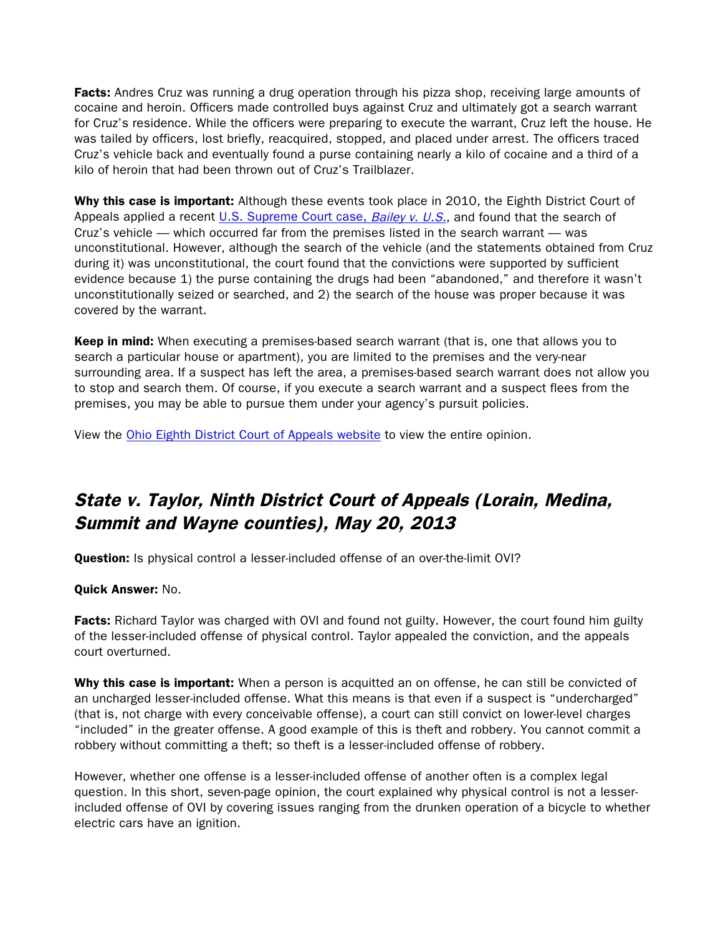**Facts:** Andres Cruz was running a drug operation through his pizza shop, receiving large amounts of cocaine and heroin. Officers made controlled buys against Cruz and ultimately got a search warrant for Cruz's residence. While the officers were preparing to execute the warrant, Cruz left the house. He was tailed by officers, lost briefly, reacquired, stopped, and placed under arrest. The officers traced Cruz's vehicle back and eventually found a purse containing nearly a kilo of cocaine and a third of a kilo of heroin that had been thrown out of Cruz's Trailblazer.

Why this case is important: Although these events took place in 2010, the Eighth District Court of Appeals applied a recent [U.S. Supreme Court case,](http://www.ohioattorneygeneral.gov/Files/Briefing-Room/Newsletters/Law-Enforcement-Bulletin/March-2013/Bailey-v-U-S-U-S-Supreme-Court-Feb-19-2013) Bailey v. U.S., and found that the search of Cruz's vehicle — which occurred far from the premises listed in the search warrant — was unconstitutional. However, although the search of the vehicle (and the statements obtained from Cruz during it) was unconstitutional, the court found that the convictions were supported by sufficient evidence because 1) the purse containing the drugs had been "abandoned," and therefore it wasn't unconstitutionally seized or searched, and 2) the search of the house was proper because it was covered by the warrant.

**Keep in mind:** When executing a premises-based search warrant (that is, one that allows you to search a particular house or apartment), you are limited to the premises and the very-near surrounding area. If a suspect has left the area, a premises-based search warrant does not allow you to stop and search them. Of course, if you execute a search warrant and a suspect flees from the premises, you may be able to pursue them under your agency's pursuit policies.

View the [Ohio Eighth District Court of Appeals website](http://www.sconet.state.oh.us/rod/docs/pdf/8/2013/2013-ohio-1889.pdf) to view the entire opinion.

# State v. Taylor, Ninth District Court of Appeals (Lorain, Medina, Summit and Wayne counties), May 20, 2013

Question: Is physical control a lesser-included offense of an over-the-limit OVI?

### Quick Answer: No.

Facts: Richard Taylor was charged with OVI and found not guilty. However, the court found him guilty of the lesser-included offense of physical control. Taylor appealed the conviction, and the appeals court overturned.

Why this case is important: When a person is acquitted an on offense, he can still be convicted of an uncharged lesser-included offense. What this means is that even if a suspect is "undercharged" (that is, not charge with every conceivable offense), a court can still convict on lower-level charges "included" in the greater offense. A good example of this is theft and robbery. You cannot commit a robbery without committing a theft; so theft is a lesser-included offense of robbery.

However, whether one offense is a lesser-included offense of another often is a complex legal question. In this short, seven-page opinion, the court explained why physical control is not a lesserincluded offense of OVI by covering issues ranging from the drunken operation of a bicycle to whether electric cars have an ignition.